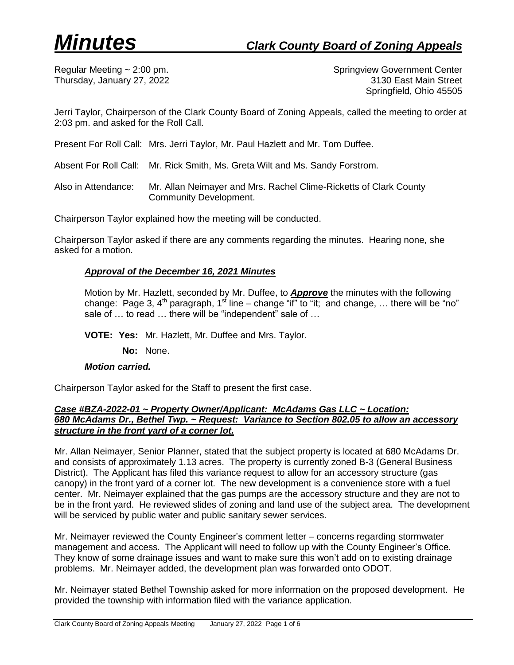Regular Meeting ~ 2:00 pm. Springview Government Center Thursday, January 27, 2022 3130 East Main Street Springfield, Ohio 45505

Jerri Taylor, Chairperson of the Clark County Board of Zoning Appeals, called the meeting to order at 2:03 pm. and asked for the Roll Call.

Present For Roll Call: Mrs. Jerri Taylor, Mr. Paul Hazlett and Mr. Tom Duffee.

Absent For Roll Call: Mr. Rick Smith, Ms. Greta Wilt and Ms. Sandy Forstrom.

Also in Attendance: Mr. Allan Neimayer and Mrs. Rachel Clime-Ricketts of Clark County Community Development.

Chairperson Taylor explained how the meeting will be conducted.

Chairperson Taylor asked if there are any comments regarding the minutes. Hearing none, she asked for a motion.

### *Approval of the December 16, 2021 Minutes*

Motion by Mr. Hazlett, seconded by Mr. Duffee, to *Approve* the minutes with the following change: Page 3, 4<sup>th</sup> paragraph, 1<sup>st</sup> line – change "if" to "it; and change, ... there will be "no" sale of ... to read ... there will be "independent" sale of ...

**VOTE: Yes:** Mr. Hazlett, Mr. Duffee and Mrs. Taylor.

**No:** None.

### *Motion carried.*

Chairperson Taylor asked for the Staff to present the first case.

### *Case #BZA-2022-01 ~ Property Owner/Applicant: McAdams Gas LLC ~ Location: 680 McAdams Dr., Bethel Twp. ~ Request: Variance to Section 802.05 to allow an accessory structure in the front yard of a corner lot.*

Mr. Allan Neimayer, Senior Planner, stated that the subject property is located at 680 McAdams Dr. and consists of approximately 1.13 acres. The property is currently zoned B-3 (General Business District). The Applicant has filed this variance request to allow for an accessory structure (gas canopy) in the front yard of a corner lot. The new development is a convenience store with a fuel center. Mr. Neimayer explained that the gas pumps are the accessory structure and they are not to be in the front yard. He reviewed slides of zoning and land use of the subject area. The development will be serviced by public water and public sanitary sewer services.

Mr. Neimayer reviewed the County Engineer's comment letter – concerns regarding stormwater management and access. The Applicant will need to follow up with the County Engineer's Office. They know of some drainage issues and want to make sure this won't add on to existing drainage problems. Mr. Neimayer added, the development plan was forwarded onto ODOT.

Mr. Neimayer stated Bethel Township asked for more information on the proposed development. He provided the township with information filed with the variance application.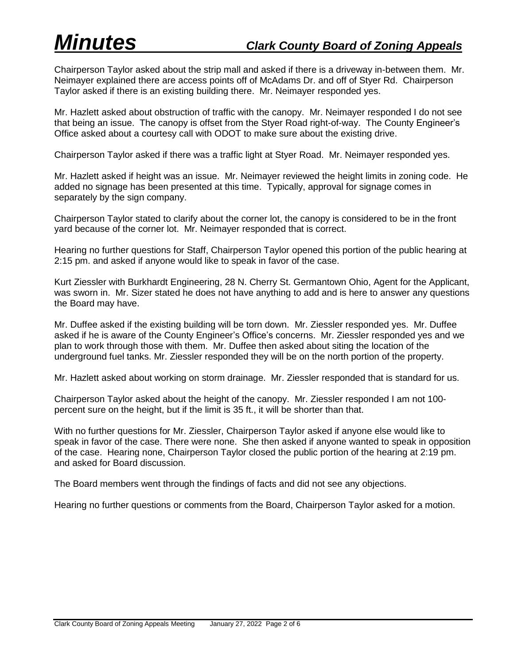Chairperson Taylor asked about the strip mall and asked if there is a driveway in-between them. Mr. Neimayer explained there are access points off of McAdams Dr. and off of Styer Rd. Chairperson Taylor asked if there is an existing building there. Mr. Neimayer responded yes.

Mr. Hazlett asked about obstruction of traffic with the canopy. Mr. Neimayer responded I do not see that being an issue. The canopy is offset from the Styer Road right-of-way. The County Engineer's Office asked about a courtesy call with ODOT to make sure about the existing drive.

Chairperson Taylor asked if there was a traffic light at Styer Road. Mr. Neimayer responded yes.

Mr. Hazlett asked if height was an issue. Mr. Neimayer reviewed the height limits in zoning code. He added no signage has been presented at this time. Typically, approval for signage comes in separately by the sign company.

Chairperson Taylor stated to clarify about the corner lot, the canopy is considered to be in the front yard because of the corner lot. Mr. Neimayer responded that is correct.

Hearing no further questions for Staff, Chairperson Taylor opened this portion of the public hearing at 2:15 pm. and asked if anyone would like to speak in favor of the case.

Kurt Ziessler with Burkhardt Engineering, 28 N. Cherry St. Germantown Ohio, Agent for the Applicant, was sworn in. Mr. Sizer stated he does not have anything to add and is here to answer any questions the Board may have.

Mr. Duffee asked if the existing building will be torn down. Mr. Ziessler responded yes. Mr. Duffee asked if he is aware of the County Engineer's Office's concerns. Mr. Ziessler responded yes and we plan to work through those with them. Mr. Duffee then asked about siting the location of the underground fuel tanks. Mr. Ziessler responded they will be on the north portion of the property.

Mr. Hazlett asked about working on storm drainage. Mr. Ziessler responded that is standard for us.

Chairperson Taylor asked about the height of the canopy. Mr. Ziessler responded I am not 100 percent sure on the height, but if the limit is 35 ft., it will be shorter than that.

With no further questions for Mr. Ziessler, Chairperson Taylor asked if anyone else would like to speak in favor of the case. There were none. She then asked if anyone wanted to speak in opposition of the case. Hearing none, Chairperson Taylor closed the public portion of the hearing at 2:19 pm. and asked for Board discussion.

The Board members went through the findings of facts and did not see any objections.

Hearing no further questions or comments from the Board, Chairperson Taylor asked for a motion.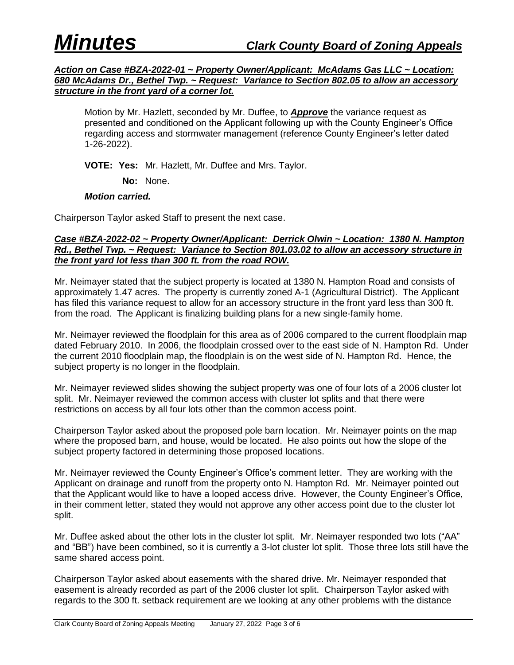*Action on Case #BZA-2022-01 ~ Property Owner/Applicant: McAdams Gas LLC ~ Location: 680 McAdams Dr., Bethel Twp. ~ Request: Variance to Section 802.05 to allow an accessory structure in the front yard of a corner lot.*

Motion by Mr. Hazlett, seconded by Mr. Duffee, to *Approve* the variance request as presented and conditioned on the Applicant following up with the County Engineer's Office regarding access and stormwater management (reference County Engineer's letter dated 1-26-2022).

**VOTE: Yes:** Mr. Hazlett, Mr. Duffee and Mrs. Taylor.

**No:** None.

### *Motion carried.*

Chairperson Taylor asked Staff to present the next case.

### *Case #BZA-2022-02 ~ Property Owner/Applicant: Derrick Olwin ~ Location: 1380 N. Hampton Rd., Bethel Twp. ~ Request: Variance to Section 801.03.02 to allow an accessory structure in the front yard lot less than 300 ft. from the road ROW.*

Mr. Neimayer stated that the subject property is located at 1380 N. Hampton Road and consists of approximately 1.47 acres. The property is currently zoned A-1 (Agricultural District). The Applicant has filed this variance request to allow for an accessory structure in the front yard less than 300 ft. from the road. The Applicant is finalizing building plans for a new single-family home.

Mr. Neimayer reviewed the floodplain for this area as of 2006 compared to the current floodplain map dated February 2010. In 2006, the floodplain crossed over to the east side of N. Hampton Rd. Under the current 2010 floodplain map, the floodplain is on the west side of N. Hampton Rd. Hence, the subject property is no longer in the floodplain.

Mr. Neimayer reviewed slides showing the subject property was one of four lots of a 2006 cluster lot split. Mr. Neimayer reviewed the common access with cluster lot splits and that there were restrictions on access by all four lots other than the common access point.

Chairperson Taylor asked about the proposed pole barn location. Mr. Neimayer points on the map where the proposed barn, and house, would be located. He also points out how the slope of the subject property factored in determining those proposed locations.

Mr. Neimayer reviewed the County Engineer's Office's comment letter. They are working with the Applicant on drainage and runoff from the property onto N. Hampton Rd. Mr. Neimayer pointed out that the Applicant would like to have a looped access drive. However, the County Engineer's Office, in their comment letter, stated they would not approve any other access point due to the cluster lot split.

Mr. Duffee asked about the other lots in the cluster lot split. Mr. Neimayer responded two lots ("AA" and "BB") have been combined, so it is currently a 3-lot cluster lot split. Those three lots still have the same shared access point.

Chairperson Taylor asked about easements with the shared drive. Mr. Neimayer responded that easement is already recorded as part of the 2006 cluster lot split. Chairperson Taylor asked with regards to the 300 ft. setback requirement are we looking at any other problems with the distance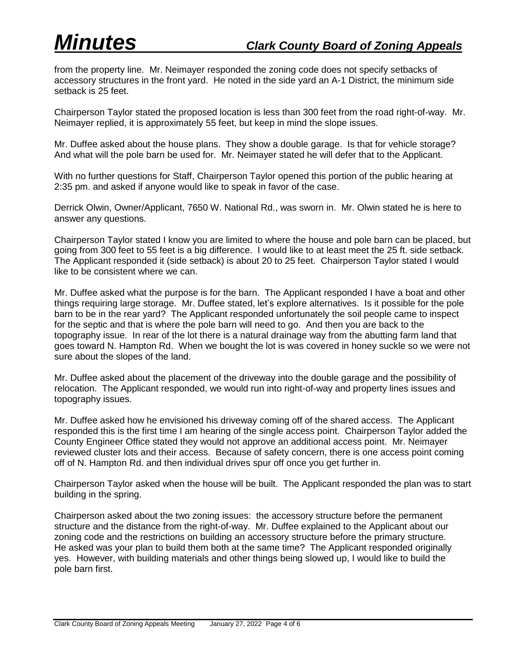from the property line. Mr. Neimayer responded the zoning code does not specify setbacks of accessory structures in the front yard. He noted in the side yard an A-1 District, the minimum side setback is 25 feet.

Chairperson Taylor stated the proposed location is less than 300 feet from the road right-of-way. Mr. Neimayer replied, it is approximately 55 feet, but keep in mind the slope issues.

Mr. Duffee asked about the house plans. They show a double garage. Is that for vehicle storage? And what will the pole barn be used for. Mr. Neimayer stated he will defer that to the Applicant.

With no further questions for Staff, Chairperson Taylor opened this portion of the public hearing at 2:35 pm. and asked if anyone would like to speak in favor of the case.

Derrick Olwin, Owner/Applicant, 7650 W. National Rd., was sworn in. Mr. Olwin stated he is here to answer any questions.

Chairperson Taylor stated I know you are limited to where the house and pole barn can be placed, but going from 300 feet to 55 feet is a big difference. I would like to at least meet the 25 ft. side setback. The Applicant responded it (side setback) is about 20 to 25 feet. Chairperson Taylor stated I would like to be consistent where we can.

Mr. Duffee asked what the purpose is for the barn. The Applicant responded I have a boat and other things requiring large storage. Mr. Duffee stated, let's explore alternatives. Is it possible for the pole barn to be in the rear yard? The Applicant responded unfortunately the soil people came to inspect for the septic and that is where the pole barn will need to go. And then you are back to the topography issue. In rear of the lot there is a natural drainage way from the abutting farm land that goes toward N. Hampton Rd. When we bought the lot is was covered in honey suckle so we were not sure about the slopes of the land.

Mr. Duffee asked about the placement of the driveway into the double garage and the possibility of relocation. The Applicant responded, we would run into right-of-way and property lines issues and topography issues.

Mr. Duffee asked how he envisioned his driveway coming off of the shared access. The Applicant responded this is the first time I am hearing of the single access point. Chairperson Taylor added the County Engineer Office stated they would not approve an additional access point. Mr. Neimayer reviewed cluster lots and their access. Because of safety concern, there is one access point coming off of N. Hampton Rd. and then individual drives spur off once you get further in.

Chairperson Taylor asked when the house will be built. The Applicant responded the plan was to start building in the spring.

Chairperson asked about the two zoning issues: the accessory structure before the permanent structure and the distance from the right-of-way. Mr. Duffee explained to the Applicant about our zoning code and the restrictions on building an accessory structure before the primary structure. He asked was your plan to build them both at the same time? The Applicant responded originally yes. However, with building materials and other things being slowed up, I would like to build the pole barn first.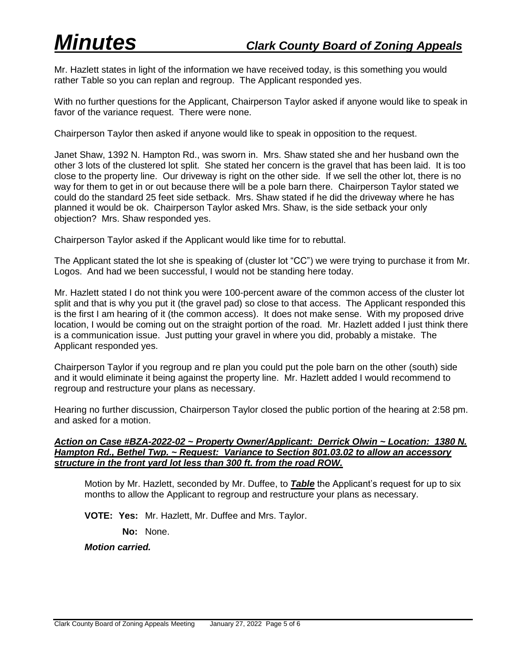Mr. Hazlett states in light of the information we have received today, is this something you would rather Table so you can replan and regroup. The Applicant responded yes.

With no further questions for the Applicant, Chairperson Taylor asked if anyone would like to speak in favor of the variance request. There were none.

Chairperson Taylor then asked if anyone would like to speak in opposition to the request.

Janet Shaw, 1392 N. Hampton Rd., was sworn in. Mrs. Shaw stated she and her husband own the other 3 lots of the clustered lot split. She stated her concern is the gravel that has been laid. It is too close to the property line. Our driveway is right on the other side. If we sell the other lot, there is no way for them to get in or out because there will be a pole barn there. Chairperson Taylor stated we could do the standard 25 feet side setback. Mrs. Shaw stated if he did the driveway where he has planned it would be ok. Chairperson Taylor asked Mrs. Shaw, is the side setback your only objection? Mrs. Shaw responded yes.

Chairperson Taylor asked if the Applicant would like time for to rebuttal.

The Applicant stated the lot she is speaking of (cluster lot "CC") we were trying to purchase it from Mr. Logos. And had we been successful, I would not be standing here today.

Mr. Hazlett stated I do not think you were 100-percent aware of the common access of the cluster lot split and that is why you put it (the gravel pad) so close to that access. The Applicant responded this is the first I am hearing of it (the common access). It does not make sense. With my proposed drive location, I would be coming out on the straight portion of the road. Mr. Hazlett added I just think there is a communication issue. Just putting your gravel in where you did, probably a mistake. The Applicant responded yes.

Chairperson Taylor if you regroup and re plan you could put the pole barn on the other (south) side and it would eliminate it being against the property line. Mr. Hazlett added I would recommend to regroup and restructure your plans as necessary.

Hearing no further discussion, Chairperson Taylor closed the public portion of the hearing at 2:58 pm. and asked for a motion.

### *Action on Case #BZA-2022-02 ~ Property Owner/Applicant: Derrick Olwin ~ Location: 1380 N. Hampton Rd., Bethel Twp. ~ Request: Variance to Section 801.03.02 to allow an accessory structure in the front yard lot less than 300 ft. from the road ROW.*

Motion by Mr. Hazlett, seconded by Mr. Duffee, to *Table* the Applicant's request for up to six months to allow the Applicant to regroup and restructure your plans as necessary.

**VOTE: Yes:** Mr. Hazlett, Mr. Duffee and Mrs. Taylor.

**No:** None.

*Motion carried.*